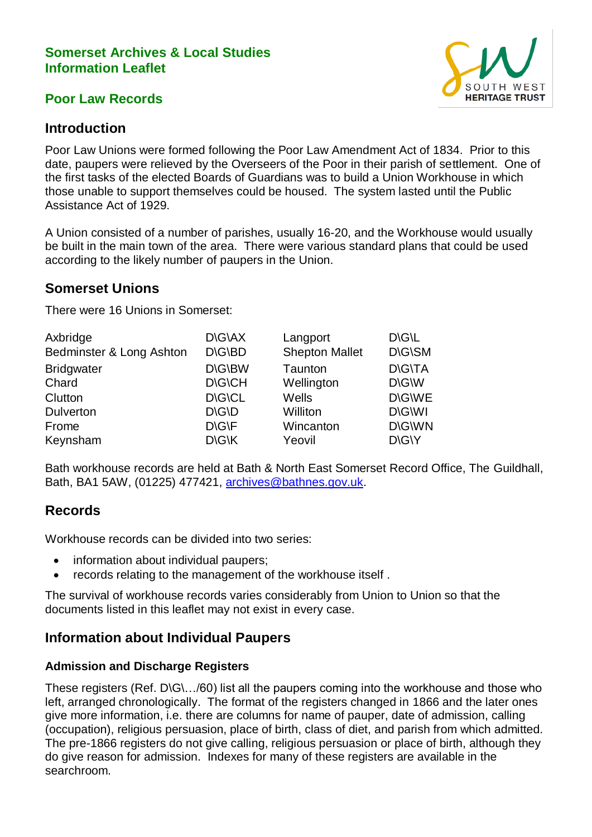### **Somerset Archives & Local Studies Information Leaflet**

### **Poor Law Records**



## **Introduction**

Poor Law Unions were formed following the Poor Law Amendment Act of 1834. Prior to this date, paupers were relieved by the Overseers of the Poor in their parish of settlement. One of the first tasks of the elected Boards of Guardians was to build a Union Workhouse in which those unable to support themselves could be housed. The system lasted until the Public Assistance Act of 1929.

A Union consisted of a number of parishes, usually 16-20, and the Workhouse would usually be built in the main town of the area. There were various standard plans that could be used according to the likely number of paupers in the Union.

## **Somerset Unions**

There were 16 Unions in Somerset:

| <b>D\G\AX</b>               | Langport              | <b>DIGIL</b>  |
|-----------------------------|-----------------------|---------------|
| <b>D\G\BD</b>               | <b>Shepton Mallet</b> | D\G\SM        |
| D\G\BW                      | Taunton               | <b>D\G\TA</b> |
| <b>DIGICH</b>               | Wellington            | D\G\W         |
| <b>DIGICL</b>               | Wells                 | <b>D\G\WE</b> |
| $D\backslash G\backslash D$ | Williton              | <b>D\G\WI</b> |
| D\G\F                       | Wincanton             | D\G\WN        |
| D\G\K                       | Yeovil                | D\G\Y         |
|                             |                       |               |

Bath workhouse records are held at Bath & North East Somerset Record Office, The Guildhall, Bath, BA1 5AW, (01225) 477421, [archives@bathnes.gov.uk.](mailto:archives@bathnes.gov.uk)

## **Records**

Workhouse records can be divided into two series:

- information about individual paupers;
- records relating to the management of the workhouse itself .

The survival of workhouse records varies considerably from Union to Union so that the documents listed in this leaflet may not exist in every case.

## **Information about Individual Paupers**

#### **Admission and Discharge Registers**

These registers (Ref. D\G\…/60) list all the paupers coming into the workhouse and those who left, arranged chronologically. The format of the registers changed in 1866 and the later ones give more information, i.e. there are columns for name of pauper, date of admission, calling (occupation), religious persuasion, place of birth, class of diet, and parish from which admitted. The pre-1866 registers do not give calling, religious persuasion or place of birth, although they do give reason for admission. Indexes for many of these registers are available in the searchroom.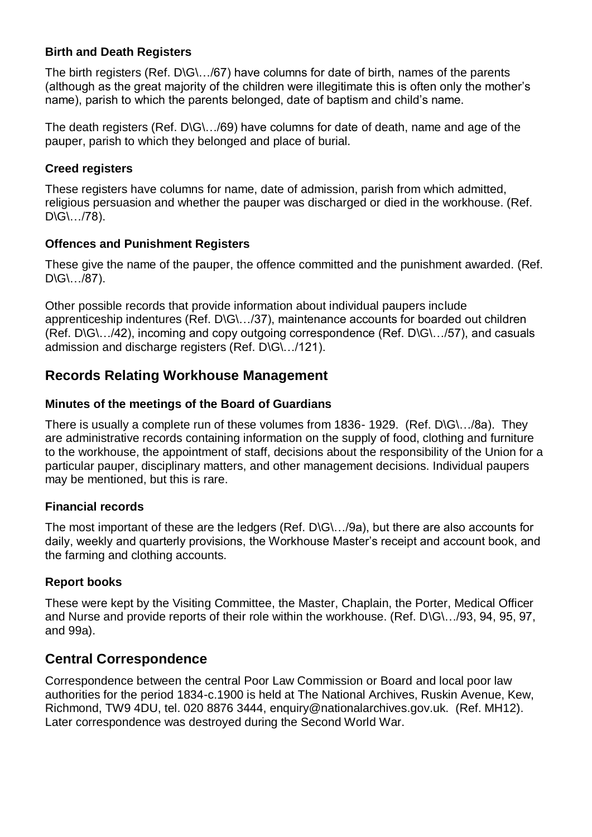#### **Birth and Death Registers**

The birth registers (Ref. D\G\.../67) have columns for date of birth, names of the parents (although as the great majority of the children were illegitimate this is often only the mother's name), parish to which the parents belonged, date of baptism and child's name.

The death registers (Ref. D\G\.../69) have columns for date of death, name and age of the pauper, parish to which they belonged and place of burial.

#### **Creed registers**

These registers have columns for name, date of admission, parish from which admitted, religious persuasion and whether the pauper was discharged or died in the workhouse. (Ref.  $D\setminus G\setminus \ldots$ /78).

#### **Offences and Punishment Registers**

These give the name of the pauper, the offence committed and the punishment awarded. (Ref.  $D\backslash G\backslash \ldots \backslash 87$ ).

Other possible records that provide information about individual paupers include apprenticeship indentures (Ref. D\G\…/37), maintenance accounts for boarded out children (Ref. D\G\…/42), incoming and copy outgoing correspondence (Ref. D\G\…/57), and casuals admission and discharge registers (Ref. D\G\…/121).

# **Records Relating Workhouse Management**

### **Minutes of the meetings of the Board of Guardians**

There is usually a complete run of these volumes from 1836- 1929. (Ref. D\G\…/8a). They are administrative records containing information on the supply of food, clothing and furniture to the workhouse, the appointment of staff, decisions about the responsibility of the Union for a particular pauper, disciplinary matters, and other management decisions. Individual paupers may be mentioned, but this is rare.

#### **Financial records**

The most important of these are the ledgers (Ref. D\G\…/9a), but there are also accounts for daily, weekly and quarterly provisions, the Workhouse Master's receipt and account book, and the farming and clothing accounts.

## **Report books**

These were kept by the Visiting Committee, the Master, Chaplain, the Porter, Medical Officer and Nurse and provide reports of their role within the workhouse. (Ref. D\G\…/93, 94, 95, 97, and 99a).

## **Central Correspondence**

Correspondence between the central Poor Law Commission or Board and local poor law authorities for the period 1834-c.1900 is held at The National Archives, Ruskin Avenue, Kew, Richmond, TW9 4DU, tel. 020 8876 3444, enquiry@nationalarchives.gov.uk. (Ref. MH12). Later correspondence was destroyed during the Second World War.